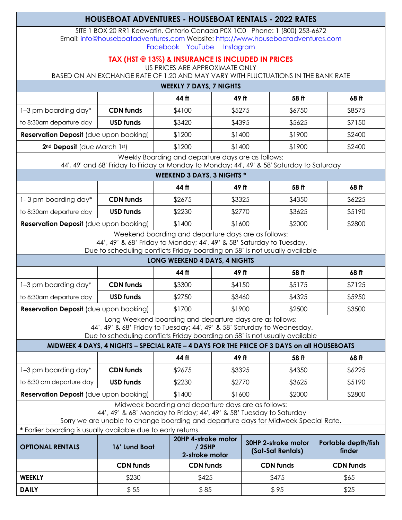# **HOUSEBOAT ADVENTURES - HOUSEBOAT RENTALS - 2022 RATES**

SITE 1 BOX 20 RR1 Keewatin, Ontario Canada P0X 1C0 Phone: 1 (800) 253-6672 Email: info@houseboatadventures.com Website: http://www.houseboatadventures.com Facebook YouTube Instagram

## **TAX (HST @ 13%) & INSURANCE IS INCLUDED IN PRICES**

US PRICES ARE APPROXIMATE ONLY

BASED ON AN EXCHANGE RATE OF 1.20 AND MAY VARY WITH FLUCTUATIONS IN THE BANK RATE

| <b>WEEKLY 7 DAYS, 7 NIGHTS</b>                |                  |        |        |        |        |  |
|-----------------------------------------------|------------------|--------|--------|--------|--------|--|
|                                               |                  | 44 ff  | 49 ft  | 58 ft  | 68 ft  |  |
| 1–3 pm boarding day*                          | <b>CDN</b> funds | \$4100 | \$5275 | \$6750 | \$8575 |  |
| to 8:30am departure day                       | <b>USD funds</b> | \$3420 | \$4395 | \$5625 | \$7150 |  |
| <b>Reservation Deposit</b> (due upon booking) |                  | \$1200 | \$1400 | \$1900 | \$2400 |  |
| 2 <sup>nd</sup> Deposit (due March 1st)       |                  | \$1200 | \$1400 | \$1900 | \$2400 |  |
| $\sim$ $\sim$<br>$\cdots$ $\cdots$            |                  |        |        |        |        |  |

Weekly Boarding and departure days are as follows:

44', 49' and 68' Friday to Friday or Monday to Monday; 44', 49' & 58' Saturday to Saturday

## **WEEKEND 3 DAYS, 3 NIGHTS \***

|                                               |                  | 44 ft  | 49 ft  | 58 ft  | 68 ft  |
|-----------------------------------------------|------------------|--------|--------|--------|--------|
| 1-3 pm boarding day*                          | <b>CDN</b> funds | \$2675 | \$3325 | \$4350 | \$6225 |
| to 8:30am departure day                       | <b>USD funds</b> | \$2230 | \$2770 | \$3625 | \$5190 |
| <b>Reservation Deposit</b> (due upon booking) |                  | \$1400 | \$1600 | \$2000 | \$2800 |

Weekend boarding and departure days are as follows:

44', 49' & 68' Friday to Monday; 44', 49' & 58' Saturday to Tuesday.

Due to scheduling conflicts Friday boarding on 58' is not usually available

| LONG WEEKEND 4 DAYS, 4 NIGHTS                 |                  |        |        |        |        |  |
|-----------------------------------------------|------------------|--------|--------|--------|--------|--|
|                                               |                  | 44 ft  | 49 ft  | 58 ft  | 68 ft  |  |
| 1-3 pm boarding day*                          | <b>CDN funds</b> | \$3300 | \$4150 | \$5175 | \$7125 |  |
| to 8:30am departure day                       | <b>USD funds</b> | \$2750 | \$3460 | \$4325 | \$5950 |  |
| <b>Reservation Deposit</b> (due upon booking) |                  | \$1700 | \$1900 | \$2500 | \$3500 |  |

Long Weekend boarding and departure days are as follows:

44', 49' & 68' Friday to Tuesday; 44', 49' & 58' Saturday to Wednesday.

Due to scheduling conflicts Friday boarding on 58' is not usually available

#### **MIDWEEK 4 DAYS, 4 NIGHTS – SPECIAL RATE – 4 DAYS FOR THE PRICE OF 3 DAYS on all HOUSEBOATS**

|                                               |                  | 44 ft  | 49 ft  | 58 ft  | 68 ft  |
|-----------------------------------------------|------------------|--------|--------|--------|--------|
| 1-3 pm boarding day*                          | <b>CDN</b> funds | \$2675 | \$3325 | \$4350 | \$6225 |
| to 8:30 am departure day                      | <b>USD funds</b> | \$2230 | \$2770 | \$3625 | \$5190 |
| <b>Reservation Deposit</b> (due upon booking) |                  | \$1400 | \$1600 | \$2000 | \$2800 |

Midweek boarding and departure days are as follows:

44', 49' & 68' Monday to Friday; 44', 49' & 58' Tuesday to Saturday

Sorry we are unable to change boarding and departure days for Midweek Special Rate.

**\*** Earlier boarding is usually available due to early returns.

| <b>OPTIONAL RENTALS</b> | 16' Lund Boat    | 20HP 4-stroke motor<br>′ 25HP<br>2-stroke motor | 30HP 2-stroke motor<br>(Sat-Sat Rentals) | Portable depth/fish<br>finder |
|-------------------------|------------------|-------------------------------------------------|------------------------------------------|-------------------------------|
|                         | <b>CDN funds</b> | <b>CDN</b> funds                                | <b>CDN</b> funds                         | <b>CDN</b> funds              |
| <b>WEEKLY</b>           | \$230            | \$425                                           | \$475                                    | \$65                          |
| <b>DAILY</b>            | \$55             | \$85                                            | \$95                                     | \$25                          |